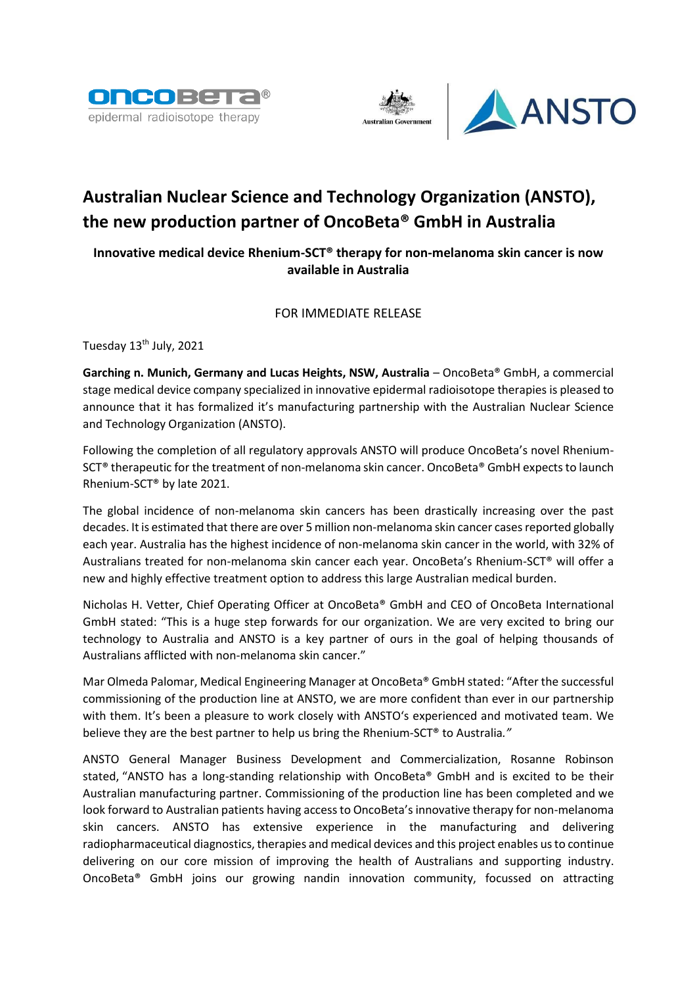





# **Australian Nuclear Science and Technology Organization (ANSTO), the new production partner of OncoBeta® GmbH in Australia**

# **Innovative medical device Rhenium-SCT® therapy for non-melanoma skin cancer is now available in Australia**

# FOR IMMEDIATE RELEASE

Tuesday 13<sup>th</sup> July, 2021

**Garching n. Munich, Germany and Lucas Heights, NSW, Australia** – OncoBeta® GmbH, a commercial stage medical device company specialized in innovative epidermal radioisotope therapies is pleased to announce that it has formalized it's manufacturing partnership with the Australian Nuclear Science and Technology Organization (ANSTO).

Following the completion of all regulatory approvals ANSTO will produce OncoBeta's novel Rhenium-SCT<sup>®</sup> therapeutic for the treatment of non-melanoma skin cancer. OncoBeta<sup>®</sup> GmbH expects to launch Rhenium-SCT® by late 2021.

The global incidence of non-melanoma skin cancers has been drastically increasing over the past decades. It is estimated that there are over 5 million non-melanoma skin cancer cases reported globally each year. Australia has the highest incidence of non-melanoma skin cancer in the world, with 32% of Australians treated for non-melanoma skin cancer each year. OncoBeta's Rhenium-SCT® will offer a new and highly effective treatment option to address this large Australian medical burden.

Nicholas H. Vetter, Chief Operating Officer at OncoBeta® GmbH and CEO of OncoBeta International GmbH stated: "This is a huge step forwards for our organization. We are very excited to bring our technology to Australia and ANSTO is a key partner of ours in the goal of helping thousands of Australians afflicted with non-melanoma skin cancer."

Mar Olmeda Palomar, Medical Engineering Manager at OncoBeta® GmbH stated: "After the successful commissioning of the production line at ANSTO, we are more confident than ever in our partnership with them. It's been a pleasure to work closely with ANSTO's experienced and motivated team. We believe they are the best partner to help us bring the Rhenium-SCT® to Australia*."*

ANSTO General Manager Business Development and Commercialization, Rosanne Robinson stated, "ANSTO has a long-standing relationship with OncoBeta® GmbH and is excited to be their Australian manufacturing partner. Commissioning of the production line has been completed and we look forward to Australian patients having access to OncoBeta's innovative therapy for non-melanoma skin cancers. ANSTO has extensive experience in the manufacturing and delivering radiopharmaceutical diagnostics, therapies and medical devices and this project enables us to continue delivering on our core mission of improving the health of Australians and supporting industry. OncoBeta® GmbH joins our growing nandin innovation community, focussed on attracting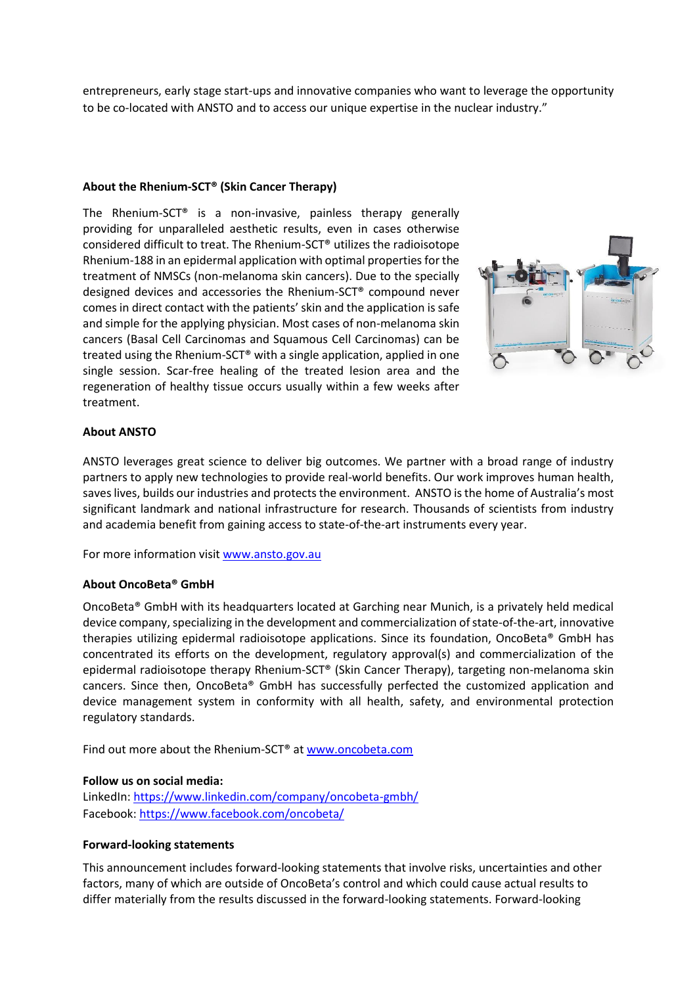entrepreneurs, early stage start-ups and innovative companies who want to leverage the opportunity to be co-located with ANSTO and to access our unique expertise in the nuclear industry."

## **About the Rhenium-SCT® (Skin Cancer Therapy)**

The Rhenium-SCT® is a non-invasive, painless therapy generally providing for unparalleled aesthetic results, even in cases otherwise considered difficult to treat. The Rhenium-SCT® utilizes the radioisotope Rhenium-188 in an epidermal application with optimal properties for the treatment of NMSCs (non-melanoma skin cancers). Due to the specially designed devices and accessories the Rhenium-SCT® compound never comes in direct contact with the patients' skin and the application is safe and simple for the applying physician. Most cases of non-melanoma skin cancers (Basal Cell Carcinomas and Squamous Cell Carcinomas) can be treated using the Rhenium-SCT® with a single application, applied in one single session. Scar-free healing of the treated lesion area and the regeneration of healthy tissue occurs usually within a few weeks after treatment.



## **About ANSTO**

ANSTO leverages great science to deliver big outcomes. We partner with a broad range of industry partners to apply new technologies to provide real-world benefits. Our work improves human health, saves lives, builds our industries and protects the environment. ANSTO is the home of Australia's most significant landmark and national infrastructure for research. Thousands of scientists from industry and academia benefit from gaining access to state-of-the-art instruments every year.

For more information visi[t www.ansto.gov.au](http://www.ansto.gov.au/)

#### **About OncoBeta® GmbH**

OncoBeta® GmbH with its headquarters located at Garching near Munich, is a privately held medical device company, specializing in the development and commercialization of state-of-the-art, innovative therapies utilizing epidermal radioisotope applications. Since its foundation, OncoBeta® GmbH has concentrated its efforts on the development, regulatory approval(s) and commercialization of the epidermal radioisotope therapy Rhenium-SCT® (Skin Cancer Therapy), targeting non-melanoma skin cancers. Since then, OncoBeta® GmbH has successfully perfected the customized application and device management system in conformity with all health, safety, and environmental protection regulatory standards.

Find out more about the Rhenium-SCT® at [www.oncobeta.com](http://www.oncobeta.com/)

#### **Follow us on social media:**

LinkedIn:<https://www.linkedin.com/company/oncobeta-gmbh/> Facebook: <https://www.facebook.com/oncobeta/>

#### **Forward-looking statements**

This announcement includes forward-looking statements that involve risks, uncertainties and other factors, many of which are outside of OncoBeta's control and which could cause actual results to differ materially from the results discussed in the forward-looking statements. Forward-looking